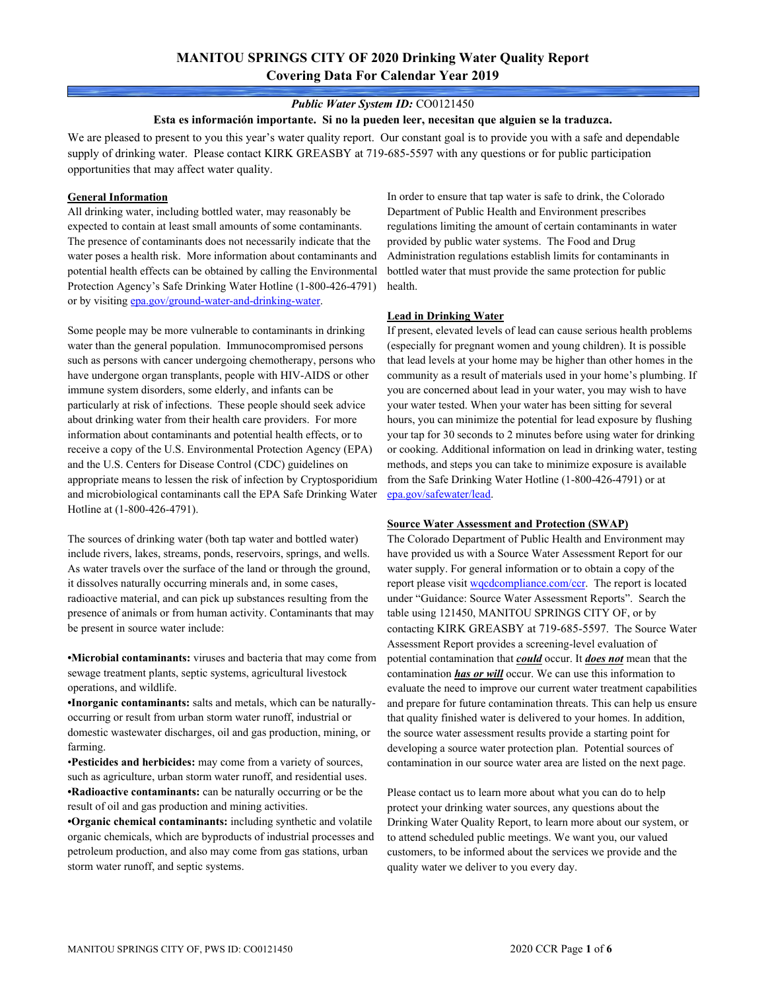# **MANITOU SPRINGS CITY OF 2020 Drinking Water Quality Report Covering Data For Calendar Year 2019**

### *Public Water System ID:* CO0121450

#### **Esta es información importante. Si no la pueden leer, necesitan que alguien se la traduzca.**

We are pleased to present to you this year's water quality report. Our constant goal is to provide you with a safe and dependable supply of drinking water. Please contact KIRK GREASBY at 719-685-5597 with any questions or for public participation opportunities that may affect water quality.

#### **General Information**

All drinking water, including bottled water, may reasonably be expected to contain at least small amounts of some contaminants. The presence of contaminants does not necessarily indicate that the water poses a health risk. More information about contaminants and potential health effects can be obtained by calling the Environmental Protection Agency's Safe Drinking Water Hotline (1-800-426-4791) or by visiting epa.gov/ground-water-and-drinking-water.

Some people may be more vulnerable to contaminants in drinking water than the general population. Immunocompromised persons such as persons with cancer undergoing chemotherapy, persons who have undergone organ transplants, people with HIV-AIDS or other immune system disorders, some elderly, and infants can be particularly at risk of infections. These people should seek advice about drinking water from their health care providers. For more information about contaminants and potential health effects, or to receive a copy of the U.S. Environmental Protection Agency (EPA) and the U.S. Centers for Disease Control (CDC) guidelines on appropriate means to lessen the risk of infection by Cryptosporidium and microbiological contaminants call the EPA Safe Drinking Water Hotline at (1-800-426-4791).

The sources of drinking water (both tap water and bottled water) include rivers, lakes, streams, ponds, reservoirs, springs, and wells. As water travels over the surface of the land or through the ground, it dissolves naturally occurring minerals and, in some cases, radioactive material, and can pick up substances resulting from the presence of animals or from human activity. Contaminants that may be present in source water include:

**•Microbial contaminants:** viruses and bacteria that may come from sewage treatment plants, septic systems, agricultural livestock operations, and wildlife.

**•Inorganic contaminants:** salts and metals, which can be naturallyoccurring or result from urban storm water runoff, industrial or domestic wastewater discharges, oil and gas production, mining, or farming.

•**Pesticides and herbicides:** may come from a variety of sources, such as agriculture, urban storm water runoff, and residential uses. **•Radioactive contaminants:** can be naturally occurring or be the result of oil and gas production and mining activities.

**•Organic chemical contaminants:** including synthetic and volatile organic chemicals, which are byproducts of industrial processes and petroleum production, and also may come from gas stations, urban storm water runoff, and septic systems.

In order to ensure that tap water is safe to drink, the Colorado Department of Public Health and Environment prescribes regulations limiting the amount of certain contaminants in water provided by public water systems. The Food and Drug Administration regulations establish limits for contaminants in bottled water that must provide the same protection for public health.

#### **Lead in Drinking Water**

If present, elevated levels of lead can cause serious health problems (especially for pregnant women and young children). It is possible that lead levels at your home may be higher than other homes in the community as a result of materials used in your home's plumbing. If you are concerned about lead in your water, you may wish to have your water tested. When your water has been sitting for several hours, you can minimize the potential for lead exposure by flushing your tap for 30 seconds to 2 minutes before using water for drinking or cooking. Additional information on lead in drinking water, testing methods, and steps you can take to minimize exposure is available from the Safe Drinking Water Hotline (1-800-426-4791) or at epa.gov/safewater/lead.

#### **Source Water Assessment and Protection (SWAP)**

The Colorado Department of Public Health and Environment may have provided us with a Source Water Assessment Report for our water supply. For general information or to obtain a copy of the report please visit wqcdcompliance.com/ccr. The report is located under "Guidance: Source Water Assessment Reports". Search the table using 121450, MANITOU SPRINGS CITY OF, or by contacting KIRK GREASBY at 719-685-5597. The Source Water Assessment Report provides a screening-level evaluation of potential contamination that *could* occur. It *does not* mean that the contamination *has or will* occur. We can use this information to evaluate the need to improve our current water treatment capabilities and prepare for future contamination threats. This can help us ensure that quality finished water is delivered to your homes. In addition, the source water assessment results provide a starting point for developing a source water protection plan. Potential sources of contamination in our source water area are listed on the next page.

Please contact us to learn more about what you can do to help protect your drinking water sources, any questions about the Drinking Water Quality Report, to learn more about our system, or to attend scheduled public meetings. We want you, our valued customers, to be informed about the services we provide and the quality water we deliver to you every day.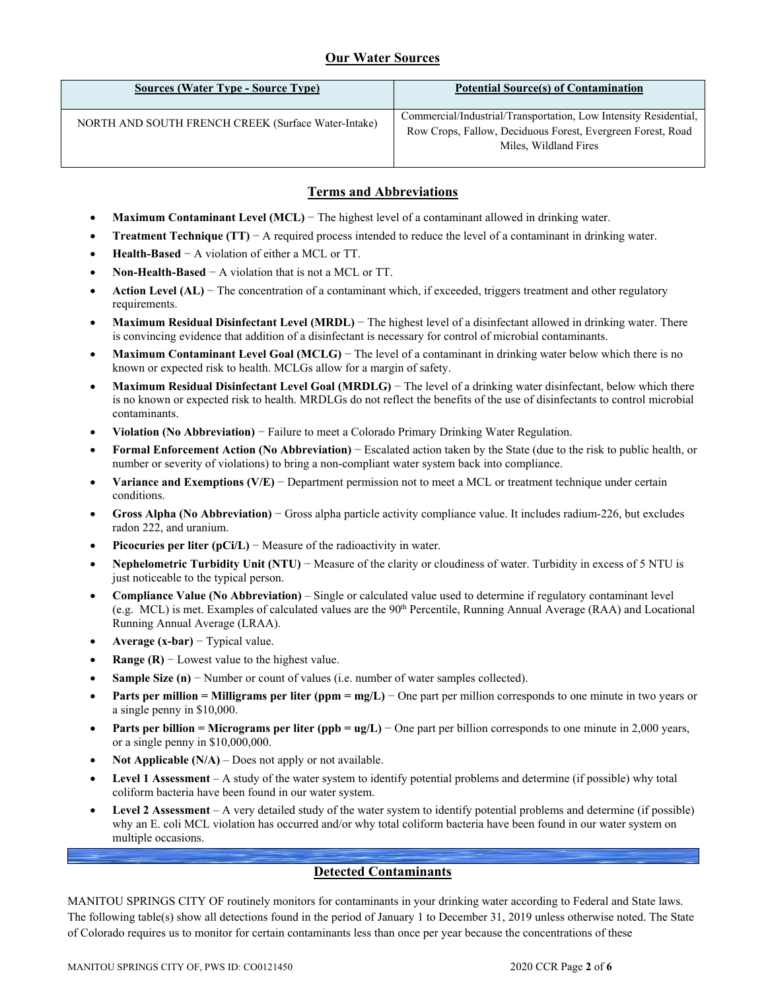## **Our Water Sources**

| <b>Sources (Water Type - Source Type)</b>           | <b>Potential Source(s) of Contamination</b>                                                                                                              |
|-----------------------------------------------------|----------------------------------------------------------------------------------------------------------------------------------------------------------|
| NORTH AND SOUTH FRENCH CREEK (Surface Water-Intake) | Commercial/Industrial/Transportation, Low Intensity Residential,<br>Row Crops, Fallow, Deciduous Forest, Evergreen Forest, Road<br>Miles, Wildland Fires |

## **Terms and Abbreviations**

- **Maximum Contaminant Level (MCL)** − The highest level of a contaminant allowed in drinking water.
- **Treatment Technique (TT)** − A required process intended to reduce the level of a contaminant in drinking water.
- **Health-Based** − A violation of either a MCL or TT.
- **Non-Health-Based** − A violation that is not a MCL or TT.
- **Action Level (AL)** − The concentration of a contaminant which, if exceeded, triggers treatment and other regulatory requirements.
- **Maximum Residual Disinfectant Level (MRDL)** − The highest level of a disinfectant allowed in drinking water. There is convincing evidence that addition of a disinfectant is necessary for control of microbial contaminants.
- **Maximum Contaminant Level Goal (MCLG)** − The level of a contaminant in drinking water below which there is no known or expected risk to health. MCLGs allow for a margin of safety.
- **Maximum Residual Disinfectant Level Goal (MRDLG)** − The level of a drinking water disinfectant, below which there is no known or expected risk to health. MRDLGs do not reflect the benefits of the use of disinfectants to control microbial contaminants.
- **Violation (No Abbreviation)** − Failure to meet a Colorado Primary Drinking Water Regulation.
- **Formal Enforcement Action (No Abbreviation)** − Escalated action taken by the State (due to the risk to public health, or number or severity of violations) to bring a non-compliant water system back into compliance.
- **Variance and Exemptions (V/E)** − Department permission not to meet a MCL or treatment technique under certain conditions.
- **Gross Alpha (No Abbreviation)** − Gross alpha particle activity compliance value. It includes radium-226, but excludes radon 222, and uranium.
- **Picocuries per liter (pCi/L)** − Measure of the radioactivity in water.
- **Nephelometric Turbidity Unit (NTU)** − Measure of the clarity or cloudiness of water. Turbidity in excess of 5 NTU is just noticeable to the typical person.
- **Compliance Value (No Abbreviation)** Single or calculated value used to determine if regulatory contaminant level (e.g. MCL) is met. Examples of calculated values are the 90th Percentile, Running Annual Average (RAA) and Locational Running Annual Average (LRAA).
- **Average (x-bar)** − Typical value.
- **Range (R)**  $-$  Lowest value to the highest value.
- **Sample Size (n)** − Number or count of values (i.e. number of water samples collected).
- **Parts per million = Milligrams per liter (ppm = mg/L)** − One part per million corresponds to one minute in two years or a single penny in \$10,000.
- **Parts per billion = Micrograms per liter (ppb = ug/L)** − One part per billion corresponds to one minute in 2,000 years, or a single penny in \$10,000,000.
- **Not Applicable (N/A)** Does not apply or not available.
- **Level 1 Assessment** A study of the water system to identify potential problems and determine (if possible) why total coliform bacteria have been found in our water system.
- **Level 2 Assessment** A very detailed study of the water system to identify potential problems and determine (if possible) why an E. coli MCL violation has occurred and/or why total coliform bacteria have been found in our water system on multiple occasions.

## **Detected Contaminants**

MANITOU SPRINGS CITY OF routinely monitors for contaminants in your drinking water according to Federal and State laws. The following table(s) show all detections found in the period of January 1 to December 31, 2019 unless otherwise noted. The State of Colorado requires us to monitor for certain contaminants less than once per year because the concentrations of these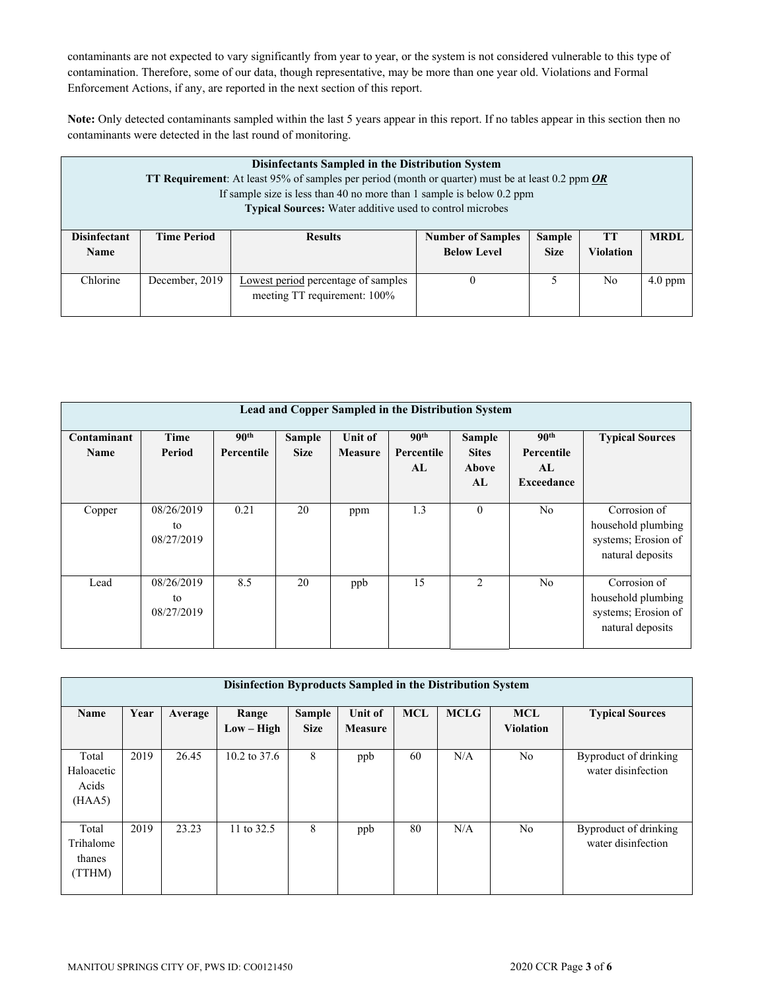contaminants are not expected to vary significantly from year to year, or the system is not considered vulnerable to this type of contamination. Therefore, some of our data, though representative, may be more than one year old. Violations and Formal Enforcement Actions, if any, are reported in the next section of this report.

**Note:** Only detected contaminants sampled within the last 5 years appear in this report. If no tables appear in this section then no contaminants were detected in the last round of monitoring.

| Disinfectants Sampled in the Distribution System<br><b>TT Requirement:</b> At least 95% of samples per period (month or quarter) must be at least 0.2 ppm OR<br>If sample size is less than 40 no more than 1 sample is below $0.2$ ppm<br><b>Typical Sources:</b> Water additive used to control microbes |                    |                                                                     |                                                |                              |                               |             |  |
|------------------------------------------------------------------------------------------------------------------------------------------------------------------------------------------------------------------------------------------------------------------------------------------------------------|--------------------|---------------------------------------------------------------------|------------------------------------------------|------------------------------|-------------------------------|-------------|--|
| <b>Disinfectant</b><br><b>Name</b>                                                                                                                                                                                                                                                                         | <b>Time Period</b> | <b>Results</b>                                                      | <b>Number of Samples</b><br><b>Below Level</b> | <b>Sample</b><br><b>Size</b> | <b>TT</b><br><b>Violation</b> | <b>MRDL</b> |  |
| Chlorine                                                                                                                                                                                                                                                                                                   | December, 2019     | Lowest period percentage of samples<br>meeting TT requirement: 100% |                                                |                              | No                            | $4.0$ ppm   |  |

|                            | Lead and Copper Sampled in the Distribution System |                                |                              |                                  |                                      |                                       |                                                           |                                                                               |  |
|----------------------------|----------------------------------------------------|--------------------------------|------------------------------|----------------------------------|--------------------------------------|---------------------------------------|-----------------------------------------------------------|-------------------------------------------------------------------------------|--|
| Contaminant<br><b>Name</b> | Time<br>Period                                     | 90 <sup>th</sup><br>Percentile | <b>Sample</b><br><b>Size</b> | <b>Unit of</b><br><b>Measure</b> | 90 <sup>th</sup><br>Percentile<br>AL | Sample<br><b>Sites</b><br>Above<br>AL | 90 <sup>th</sup><br>Percentile<br>AL<br><b>Exceedance</b> | <b>Typical Sources</b>                                                        |  |
| Copper                     | 08/26/2019<br>to<br>08/27/2019                     | 0.21                           | 20                           | ppm                              | 1.3                                  | $\mathbf{0}$                          | N <sub>o</sub>                                            | Corrosion of<br>household plumbing<br>systems; Erosion of<br>natural deposits |  |
| Lead                       | 08/26/2019<br>to<br>08/27/2019                     | 8.5                            | 20                           | ppb                              | 15                                   | $\overline{2}$                        | N <sub>o</sub>                                            | Corrosion of<br>household plumbing<br>systems; Erosion of<br>natural deposits |  |

| Disinfection Byproducts Sampled in the Distribution System |      |         |                       |                       |                           |            |             |                                |                                             |
|------------------------------------------------------------|------|---------|-----------------------|-----------------------|---------------------------|------------|-------------|--------------------------------|---------------------------------------------|
| Name                                                       | Year | Average | Range<br>$Low - High$ | Sample<br><b>Size</b> | Unit of<br><b>Measure</b> | <b>MCL</b> | <b>MCLG</b> | <b>MCL</b><br><b>Violation</b> | <b>Typical Sources</b>                      |
| Total<br>Haloacetic<br>Acids<br>(HAA5)                     | 2019 | 26.45   | 10.2 to $37.6$        | 8                     | ppb                       | 60         | N/A         | N <sub>o</sub>                 | Byproduct of drinking<br>water disinfection |
| Total<br>Trihalome<br>thanes<br>(TTHM)                     | 2019 | 23.23   | 11 to 32.5            | 8                     | ppb                       | 80         | N/A         | N <sub>o</sub>                 | Byproduct of drinking<br>water disinfection |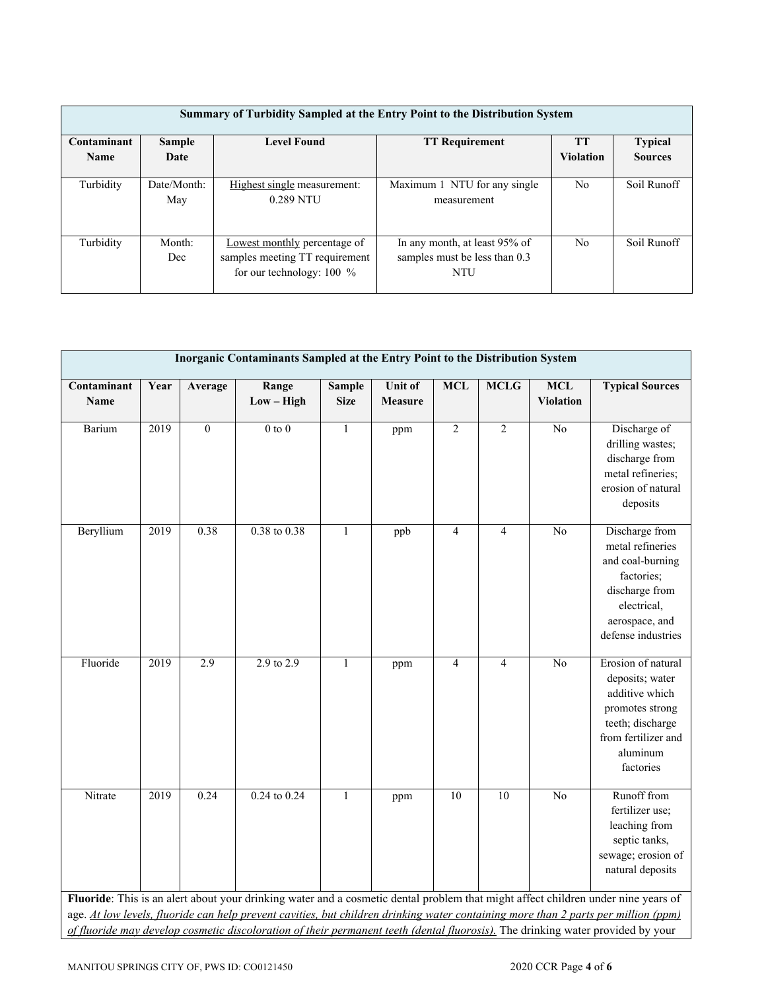| Summary of Turbidity Sampled at the Entry Point to the Distribution System |                    |                                                                                               |                                                                              |                               |                                  |  |  |  |
|----------------------------------------------------------------------------|--------------------|-----------------------------------------------------------------------------------------------|------------------------------------------------------------------------------|-------------------------------|----------------------------------|--|--|--|
| Contaminant<br><b>Name</b>                                                 | Sample<br>Date     | <b>Level Found</b>                                                                            | <b>TT Requirement</b>                                                        | <b>TT</b><br><b>Violation</b> | <b>Typical</b><br><b>Sources</b> |  |  |  |
| Turbidity                                                                  | Date/Month:<br>May | Highest single measurement:<br>0.289 NTU                                                      | Maximum 1 NTU for any single<br>measurement                                  | N <sub>o</sub>                | Soil Runoff                      |  |  |  |
| Turbidity                                                                  | Month:<br>Dec      | Lowest monthly percentage of<br>samples meeting TT requirement<br>for our technology: $100\%$ | In any month, at least 95% of<br>samples must be less than 0.3<br><b>NTU</b> | N <sub>o</sub>                | Soil Runoff                      |  |  |  |

| Inorganic Contaminants Sampled at the Entry Point to the Distribution System |      |          |                       |                              |                           |                |                |                                |                                                                                                                                                                                                                                                                       |
|------------------------------------------------------------------------------|------|----------|-----------------------|------------------------------|---------------------------|----------------|----------------|--------------------------------|-----------------------------------------------------------------------------------------------------------------------------------------------------------------------------------------------------------------------------------------------------------------------|
| Contaminant<br>Name                                                          | Year | Average  | Range<br>$Low - High$ | <b>Sample</b><br><b>Size</b> | Unit of<br><b>Measure</b> | <b>MCL</b>     | <b>MCLG</b>    | <b>MCL</b><br><b>Violation</b> | <b>Typical Sources</b>                                                                                                                                                                                                                                                |
| Barium                                                                       | 2019 | $\theta$ | $0$ to $0$            | $\mathbf{1}$                 | ppm                       | $\overline{2}$ | $\overline{2}$ | No                             | Discharge of<br>drilling wastes;<br>discharge from<br>metal refineries;<br>erosion of natural<br>deposits                                                                                                                                                             |
| Beryllium                                                                    | 2019 | 0.38     | $0.38$ to $0.38$      | $\mathbf{1}$                 | ppb                       | $\overline{4}$ | $\overline{4}$ | No                             | Discharge from<br>metal refineries<br>and coal-burning<br>factories;<br>discharge from<br>electrical,<br>aerospace, and<br>defense industries                                                                                                                         |
| Fluoride                                                                     | 2019 | 2.9      | $2.9$ to $2.9$        | $\mathbf{1}$                 | ppm                       | $\overline{4}$ | $\overline{4}$ | No                             | Erosion of natural<br>deposits; water<br>additive which<br>promotes strong<br>teeth; discharge<br>from fertilizer and<br>aluminum<br>factories                                                                                                                        |
| Nitrate                                                                      | 2019 | 0.24     | $0.24$ to $0.24$      | $\mathbf{1}$                 | ppm                       | 10             | 10             | No                             | Runoff from<br>fertilizer use;<br>leaching from<br>septic tanks,<br>sewage; erosion of<br>natural deposits<br>Fluoride: This is an alert about your drinking water and a cosmetic dental problem that might affect children under nine years of                       |
|                                                                              |      |          |                       |                              |                           |                |                |                                | age. At low levels, fluoride can help prevent cavities, but children drinking water containing more than 2 parts per million (ppm)<br>of fluoride may develop cosmetic discoloration of their permanent teeth (dental fluorosis). The drinking water provided by your |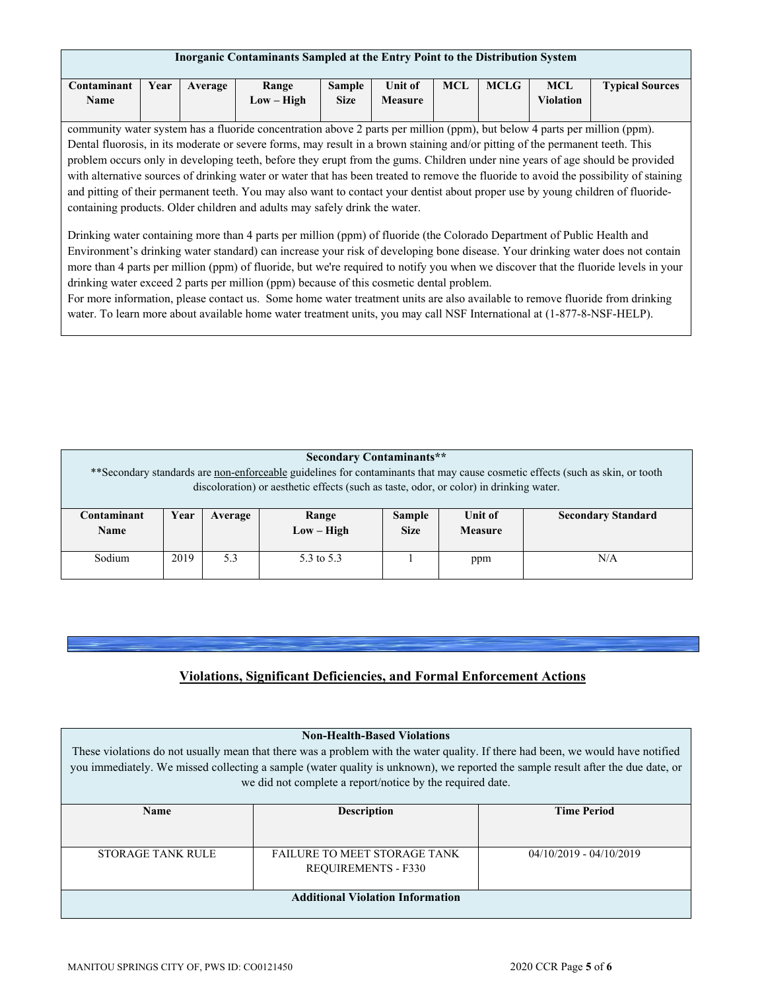| Inorganic Contaminants Sampled at the Entry Point to the Distribution System |      |         |                     |                              |                                  |     |             |                         |                        |
|------------------------------------------------------------------------------|------|---------|---------------------|------------------------------|----------------------------------|-----|-------------|-------------------------|------------------------|
| C <b>ontaminant</b><br>Name                                                  | Year | Average | Range<br>Low – High | <b>Sample</b><br><b>Size</b> | <b>Unit of</b><br><b>Measure</b> | MCL | <b>MCLG</b> | MCL<br><b>Violation</b> | <b>Typical Sources</b> |

community water system has a fluoride concentration above 2 parts per million (ppm), but below 4 parts per million (ppm). Dental fluorosis, in its moderate or severe forms, may result in a brown staining and/or pitting of the permanent teeth. This problem occurs only in developing teeth, before they erupt from the gums. Children under nine years of age should be provided with alternative sources of drinking water or water that has been treated to remove the fluoride to avoid the possibility of staining and pitting of their permanent teeth. You may also want to contact your dentist about proper use by young children of fluoridecontaining products. Older children and adults may safely drink the water.

Drinking water containing more than 4 parts per million (ppm) of fluoride (the Colorado Department of Public Health and Environment's drinking water standard) can increase your risk of developing bone disease. Your drinking water does not contain more than 4 parts per million (ppm) of fluoride, but we're required to notify you when we discover that the fluoride levels in your drinking water exceed 2 parts per million (ppm) because of this cosmetic dental problem.

For more information, please contact us. Some home water treatment units are also available to remove fluoride from drinking water. To learn more about available home water treatment units, you may call NSF International at (1-877-8-NSF-HELP).

### **Secondary Contaminants\*\***

\*\*Secondary standards are non-enforceable guidelines for contaminants that may cause cosmetic effects (such as skin, or tooth discoloration) or aesthetic effects (such as taste, odor, or color) in drinking water.

| Contaminant<br><b>Name</b> | Year | Average | Range<br>$Low - High$ | <b>Sample</b><br><b>Size</b> | Unit of<br><b>Measure</b> | <b>Secondary Standard</b> |
|----------------------------|------|---------|-----------------------|------------------------------|---------------------------|---------------------------|
| Sodium                     | 2019 | 5.3     | 5.3 to 5.3            |                              | ppm                       | N/A                       |

## **Violations, Significant Deficiencies, and Formal Enforcement Actions**

| <b>Non-Health-Based Violations</b><br>These violations do not usually mean that there was a problem with the water quality. If there had been, we would have notified<br>you immediately. We missed collecting a sample (water quality is unknown), we reported the sample result after the due date, or<br>we did not complete a report/notice by the required date. |                            |  |  |  |  |
|-----------------------------------------------------------------------------------------------------------------------------------------------------------------------------------------------------------------------------------------------------------------------------------------------------------------------------------------------------------------------|----------------------------|--|--|--|--|
| <b>Description</b>                                                                                                                                                                                                                                                                                                                                                    | <b>Time Period</b>         |  |  |  |  |
|                                                                                                                                                                                                                                                                                                                                                                       |                            |  |  |  |  |
| <b>FAILURE TO MEET STORAGE TANK</b>                                                                                                                                                                                                                                                                                                                                   | $04/10/2019 - 04/10/2019$  |  |  |  |  |
|                                                                                                                                                                                                                                                                                                                                                                       |                            |  |  |  |  |
| <b>Additional Violation Information</b>                                                                                                                                                                                                                                                                                                                               |                            |  |  |  |  |
|                                                                                                                                                                                                                                                                                                                                                                       | <b>REQUIREMENTS - F330</b> |  |  |  |  |